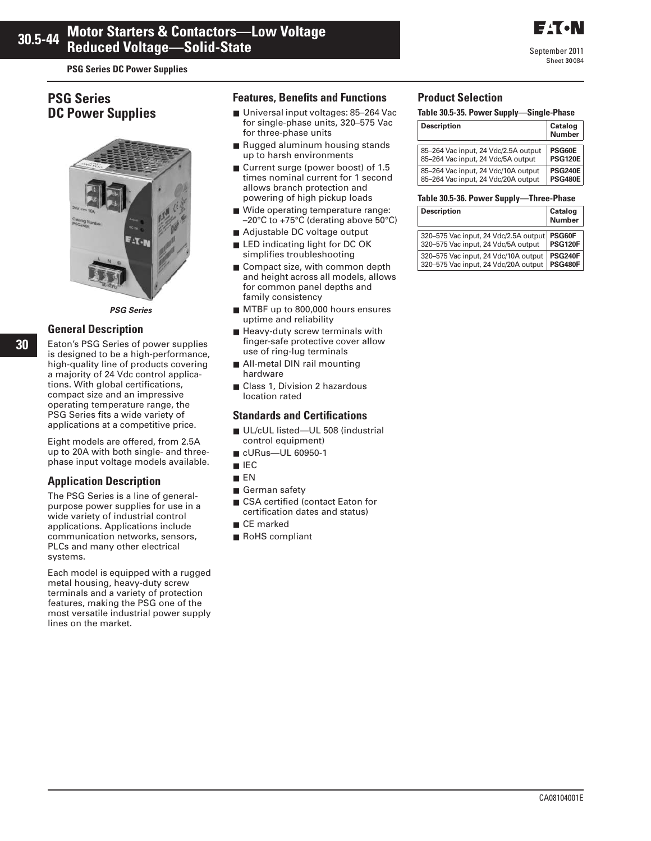**PSG Series DC Power Supplies** 

# **PSG Series DC Power Supplies**



*PSG Series*

### **General Description**

Eaton's PSG Series of power supplies is designed to be a high-performance, high-quality line of products covering a majority of 24 Vdc control applications. With global certifications, compact size and an impressive operating temperature range, the PSG Series fits a wide variety of applications at a competitive price.

Eight models are offered, from 2.5A up to 20A with both single- and threephase input voltage models available.

# **Application Description**

The PSG Series is a line of generalpurpose power supplies for use in a wide variety of industrial control applications. Applications include communication networks, sensors, PLCs and many other electrical systems.

Each model is equipped with a rugged metal housing, heavy-duty screw terminals and a variety of protection features, making the PSG one of the most versatile industrial power supply lines on the market.

### **Features, Benefits and Functions**

- Universal input voltages: 85-264 Vac for single-phase units, 320–575 Vac for three-phase units
- Rugged aluminum housing stands up to harsh environments
- Current surge (power boost) of 1.5 times nominal current for 1 second allows branch protection and powering of high pickup loads
- Wide operating temperature range: –20°C to +75°C (derating above 50°C)
- Adjustable DC voltage output
- LED indicating light for DC OK simplifies troubleshooting
- Compact size, with common depth and height across all models, allows for common panel depths and family consistency
- MTBF up to 800,000 hours ensures uptime and reliability
- Heavy-duty screw terminals with finger-safe protective cover allow use of ring-lug terminals
- All-metal DIN rail mounting hardware
- Class 1, Division 2 hazardous location rated

### **Standards and Certifications**

- UL/cUL listed—UL 508 (industrial control equipment)
- cURus—UL 60950-1
- IEC
- EN
- German safety
- CSA certified (contact Eaton for certification dates and status)
- CE marked
- RoHS compliant

## **Product Selection**

#### **Table 30.5-35. Power Supply—Single-Phase**

| <b>Description</b>                   | Catalog<br><b>Number</b> |
|--------------------------------------|--------------------------|
| 85-264 Vac input, 24 Vdc/2.5A output | PSG60E                   |
| 85-264 Vac input, 24 Vdc/5A output   | <b>PSG120E</b>           |
| 85-264 Vac input, 24 Vdc/10A output  | <b>PSG240E</b>           |
| 85-264 Vac input, 24 Vdc/20A output  | <b>PSG480E</b>           |

#### **Table 30.5-36. Power Supply—Three-Phase**

| <b>Description</b>                    | <b>Catalog</b><br>Number |
|---------------------------------------|--------------------------|
| 320-575 Vac input, 24 Vdc/2.5A output | PSG60F                   |
| 320-575 Vac input, 24 Vdc/5A output   | <b>PSG120F</b>           |
| 320-575 Vac input, 24 Vdc/10A output  | <b>PSG240F</b>           |
| 320-575 Vac input, 24 Vdc/20A output  | <b>PSG480F</b>           |

**E**T.N

September 2011 Sheet **30**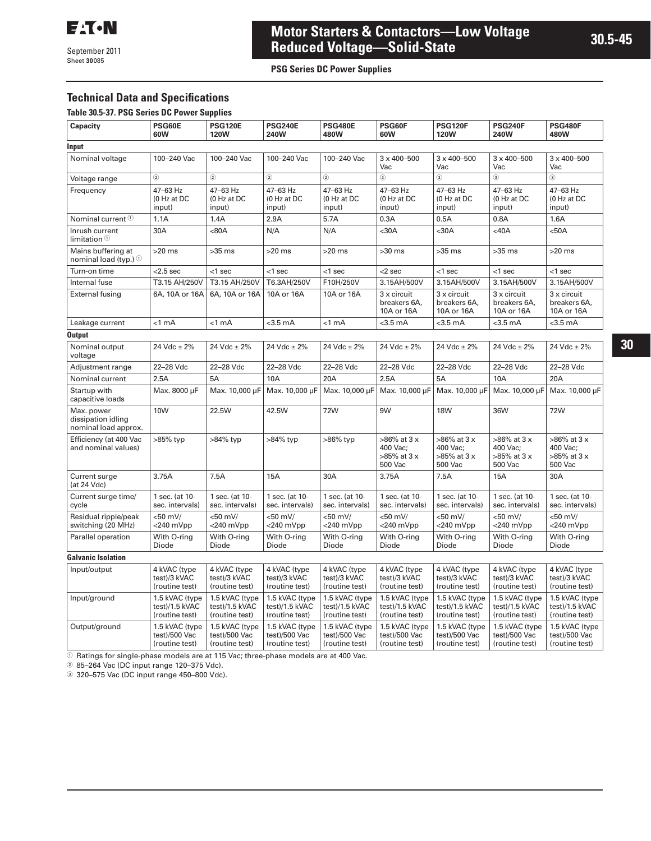September 2011 Sheet **30**

# **Motor Starters & Contactors—Low Voltage Reduced Voltage—Solid-State**

**PSG Series DC Power Supplies** 

# **Technical Data and Specifications**

#### **Table 30.5-37. PSG Series DC Power Supplies**

| Capacity                                                 | PSG60E<br>60W                                      | <b>PSG120E</b><br><b>120W</b>                      | <b>PSG240E</b><br>240W                             | <b>PSG480E</b><br>480W                             | PSG60F<br>60W                                           | <b>PSG120F</b><br><b>120W</b>                           | <b>PSG240F</b><br><b>240W</b>                           | <b>PSG480F</b><br>480W                                  |  |
|----------------------------------------------------------|----------------------------------------------------|----------------------------------------------------|----------------------------------------------------|----------------------------------------------------|---------------------------------------------------------|---------------------------------------------------------|---------------------------------------------------------|---------------------------------------------------------|--|
| Input                                                    |                                                    |                                                    |                                                    |                                                    |                                                         |                                                         |                                                         |                                                         |  |
| Nominal voltage                                          | 100-240 Vac                                        | 100-240 Vac                                        | 100-240 Vac                                        | 100-240 Vac                                        | $3 \times 400 - 500$<br>Vac                             | $3 \times 400 - 500$<br>Vac                             | $3 \times 400 - 500$<br>Vac                             | $3 \times 400 - 500$<br>Vac                             |  |
| Voltage range                                            | $\circled{2}$                                      | $\circled{2}$                                      | $^{\circ}$                                         | $\circled{2}$                                      | ⊚                                                       | $\circled{3}$                                           | $\circled{3}$                                           | $\circled{3}$                                           |  |
| Frequency                                                | 47-63 Hz<br>(0 Hz at DC<br>input)                  | 47-63 Hz<br>(0 Hz at DC<br>input)                  | 47-63 Hz<br>(0 Hz at DC<br>input)                  | 47-63 Hz<br>(0 Hz at DC<br>input)                  | 47-63 Hz<br>(0 Hz at DC<br>input)                       | 47-63 Hz<br>(0 Hz at DC<br>input)                       | 47-63 Hz<br>(0 Hz at DC<br>input)                       | 47-63 Hz<br>(0 Hz at DC<br>input)                       |  |
| Nominal current <sup>1</sup>                             | 1.1A                                               | 1.4A                                               | 2.9A                                               | 5.7A                                               | 0.3A                                                    | 0.5A                                                    | 0.8A                                                    | 1.6A                                                    |  |
| Inrush current<br>limitation $\mathbb O$                 | 30A                                                | <80A                                               | N/A                                                | N/A                                                | $30A$                                                   | $30A$                                                   | $<$ 40A                                                 | $50A$                                                   |  |
| Mains buffering at<br>nominal load (typ.) $\odot$        | $>20$ ms                                           | $>35$ ms                                           | $>20$ ms                                           | $>20$ ms                                           | $>30$ ms                                                | $>35$ ms                                                | $>35$ ms                                                | $>20$ ms                                                |  |
| Turn-on time                                             | $<$ 2.5 sec                                        | $<$ 1 sec                                          | $<$ 1 sec                                          | $<$ 1 sec                                          | $<$ 2 sec                                               | $<$ 1 sec                                               | $<$ 1 sec                                               | $<$ 1 sec                                               |  |
| Internal fuse                                            | T3.15 AH/250V                                      | T3.15 AH/250V                                      | T6.3AH/250V                                        | F10H/250V                                          | 3.15AH/500V                                             | 3.15AH/500V                                             | 3.15AH/500V                                             | 3.15AH/500V                                             |  |
| <b>External fusing</b>                                   | 6A, 10A or 16A                                     | 6A, 10A or 16A                                     | 10A or 16A                                         | 10A or 16A                                         | $3x$ circuit<br>breakers 6A,<br>10A or 16A              | 3 x circuit<br>breakers 6A,<br>10A or 16A               | 3 x circuit<br>breakers 6A,<br>10A or 16A               | 3 x circuit<br>breakers 6A,<br>10A or 16A               |  |
| Leakage current                                          | $<$ 1 mA                                           | <1 mA                                              | $<$ 3.5 $mA$                                       | $< 1$ mA                                           | $<$ 3.5 $mA$                                            | $<$ 3.5 $mA$                                            | $<$ 3.5 $mA$                                            | $<$ 3.5 $mA$                                            |  |
| <b>Output</b>                                            |                                                    |                                                    |                                                    |                                                    |                                                         |                                                         |                                                         |                                                         |  |
| Nominal output<br>voltage                                | 24 Vdc $\pm$ 2%                                    | $24$ Vdc $\pm$ 2%                                  | 24 Vdc $\pm$ 2%                                    | 24 Vdc $\pm$ 2%                                    | 24 Vdc $\pm$ 2%                                         | 24 Vdc $\pm$ 2%                                         | 24 Vdc $\pm$ 2%                                         | 24 Vdc $\pm$ 2%                                         |  |
| Adjustment range                                         | 22-28 Vdc                                          | 22-28 Vdc                                          | 22-28 Vdc                                          | 22-28 Vdc                                          | 22-28 Vdc                                               | 22-28 Vdc                                               | 22-28 Vdc                                               | 22-28 Vdc                                               |  |
| Nominal current                                          | 2.5A                                               | 5A                                                 | 10A                                                | 20A                                                | 2.5A                                                    | 5A                                                      | 10A                                                     | 20A                                                     |  |
| Startup with<br>capacitive loads                         | Max. 8000 µF                                       | Max. 10,000 µF                                     | Max. 10,000 µF                                     | Max. 10,000 µF                                     | Max. 10,000 µF                                          | Max. 10,000 µF                                          | Max. 10,000 µF                                          | Max. 10,000 µF                                          |  |
| Max. power<br>dissipation idling<br>nominal load approx. | 10W                                                | 22.5W                                              | 42.5W                                              | 72W                                                | 9W                                                      | <b>18W</b>                                              | 36W                                                     | 72W                                                     |  |
| Efficiency (at 400 Vac<br>and nominal values)            | >85% typ                                           | >84% typ                                           | >84% typ                                           | >86% typ                                           | $>86\%$ at 3 x<br>400 Vac:<br>$>85\%$ at 3 x<br>500 Vac | $>86\%$ at 3 x<br>400 Vac:<br>$>85\%$ at 3 x<br>500 Vac | $>86\%$ at 3 x<br>400 Vac:<br>$>85\%$ at 3 x<br>500 Vac | $>86\%$ at 3 x<br>400 Vac:<br>$>85\%$ at 3 x<br>500 Vac |  |
| Current surge<br>(at 24 Vdc)                             | 3.75A                                              | 7.5A                                               | <b>15A</b>                                         | 30A                                                | 3.75A                                                   | 7.5A                                                    | 15A                                                     | 30A                                                     |  |
| Current surge time/<br>cycle                             | 1 sec. (at 10-<br>sec. intervals)                  | 1 sec. (at 10-<br>sec. intervals)                  | 1 sec. (at 10-<br>sec. intervals)                  | 1 sec. (at 10-<br>sec. intervals)                  | 1 sec. (at 10-<br>sec. intervals)                       | 1 sec. (at 10-<br>sec. intervals)                       | 1 sec. (at 10-<br>sec. intervals)                       | 1 sec. (at 10-<br>sec. intervals)                       |  |
| Residual ripple/peak<br>switching (20 MHz)               | $< 50$ mV/<br>$<$ 240 $mVpp$                       | $<$ 50 mV/<br>$<$ 240 $mVpp$                       | $<$ 50 mV/<br>$<$ 240 $mVpp$                       | $< 50$ mV/<br>$<$ 240 $mVpp$                       | $< 50$ mV/<br>$<$ 240 $mVpp$                            | $<$ 50 mV/<br>$<$ 240 $mVpp$                            | $<$ 50 mV/<br>$<$ 240 $mVpp$                            | $< 50$ mV/<br>$<$ 240 $mVpp$                            |  |
| Parallel operation                                       | With O-ring<br>Diode                               | With O-ring<br>Diode                               | With O-ring<br>Diode                               | With O-ring<br>Diode                               | With O-ring<br>Diode                                    | With O-ring<br>Diode                                    | With O-ring<br>Diode                                    | With O-ring<br>Diode                                    |  |
| <b>Galvanic Isolation</b>                                |                                                    |                                                    |                                                    |                                                    |                                                         |                                                         |                                                         |                                                         |  |
| Input/output                                             | 4 kVAC (type<br>test)/3 kVAC<br>(routine test)     | 4 kVAC (type<br>test)/3 kVAC<br>(routine test)     | 4 kVAC (type<br>test)/3 kVAC<br>(routine test)     | 4 kVAC (type<br>test)/3 kVAC<br>(routine test)     | 4 kVAC (type<br>test)/3 kVAC<br>(routine test)          | 4 kVAC (type<br>test)/3 kVAC<br>(routine test)          | 4 kVAC (type<br>test)/3 kVAC<br>(routine test)          | 4 kVAC (type<br>test)/3 kVAC<br>(routine test)          |  |
| Input/ground                                             | 1.5 kVAC (type<br>test)/1.5 kVAC<br>(routine test) | 1.5 kVAC (type<br>test)/1.5 kVAC<br>(routine test) | 1.5 kVAC (type<br>test)/1.5 kVAC<br>(routine test) | 1.5 kVAC (type<br>test)/1.5 kVAC<br>(routine test) | 1.5 kVAC (type<br>test)/1.5 kVAC<br>(routine test)      | 1.5 kVAC (type<br>test)/1.5 kVAC<br>(routine test)      | 1.5 kVAC (type<br>test)/1.5 kVAC<br>(routine test)      | 1.5 kVAC (type<br>test)/1.5 kVAC<br>(routine test)      |  |
| Output/ground                                            | 1.5 kVAC (type<br>test)/500 Vac                    | 1.5 kVAC (type<br>test)/500 Vac                    | 1.5 kVAC (type<br>test)/500 Vac                    | 1.5 kVAC (type<br>test)/500 Vac                    | 1.5 kVAC (type<br>test)/500 Vac                         | 1.5 kVAC (type<br>test)/500 Vac                         | 1.5 kVAC (type<br>test)/500 Vac                         | 1.5 kVAC (type<br>test)/500 Vac                         |  |

 $\overline{\textcircled{\tiny{1}}}$  Ratings for single-phase models are at 115 Vac; three-phase models are at 400 Vac.

test)/500 Vac (routine test)

test)/500 Vac (routine test)

test)/500 Vac (routine test)

test)/500 Vac (routine test)

test)/500 Vac (routine test)

test)/500 Vac (routine test)

test)/500 Vac (routine test)

- 85–264 Vac (DC input range 120–375 Vdc).

(routine test)

320–575 Vac (DC input range 450–800 Vdc).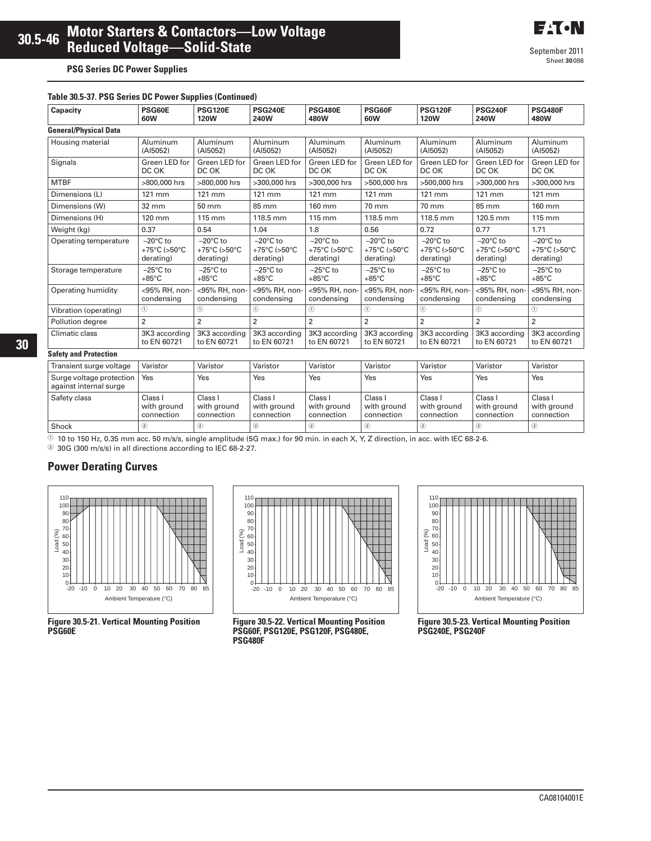#### **Table 30.5-37. PSG Series DC Power Supplies (Continued)**

| Capacity                                           | PSG60E<br>60W                                   | <b>PSG120E</b><br><b>120W</b>                   | <b>PSG240E</b><br>240W                          | <b>PSG480E</b><br>480W                                                | PSG60F<br>60W                                                         | <b>PSG120F</b><br><b>120W</b>                   | <b>PSG240F</b><br>240W                                              | <b>PSG480F</b><br>480W                          |
|----------------------------------------------------|-------------------------------------------------|-------------------------------------------------|-------------------------------------------------|-----------------------------------------------------------------------|-----------------------------------------------------------------------|-------------------------------------------------|---------------------------------------------------------------------|-------------------------------------------------|
| <b>General/Physical Data</b>                       |                                                 |                                                 |                                                 |                                                                       |                                                                       |                                                 |                                                                     |                                                 |
| Housing material                                   | Aluminum<br>(AI5052)                            | Aluminum<br>(AI5052)                            | Aluminum<br>(AI5052)                            | Aluminum<br>(AI5052)                                                  | Aluminum<br>(AI5052)                                                  | Aluminum<br>(AI5052)                            | Aluminum<br>(AI5052)                                                | Aluminum<br>(AI5052)                            |
| Signals                                            | Green LED for<br>DC OK                          | Green LED for<br>DC OK                          | Green LED for<br>DC OK                          | Green LED for<br>DC OK                                                | Green LED for<br>DC OK                                                | Green LED for<br>DC OK                          | Green LED for<br>DC OK                                              | Green LED for<br>DC OK                          |
| <b>MTBF</b>                                        | >800,000 hrs                                    | >800,000 hrs                                    | >300,000 hrs                                    | >300,000 hrs                                                          | >500,000 hrs                                                          | >500,000 hrs                                    | >300,000 hrs                                                        | >300,000 hrs                                    |
| Dimensions (L)                                     | $121 \text{ mm}$                                | 121 mm                                          | $121 \text{ mm}$                                | 121 mm                                                                | 121 mm                                                                | $121 \text{ mm}$                                | $121 \text{ mm}$                                                    | $121 \text{ mm}$                                |
| Dimensions (W)                                     | 32 mm                                           | 50 mm                                           | 85 mm                                           | 160 mm                                                                | 70 mm                                                                 | 70 mm                                           | 85 mm                                                               | 160 mm                                          |
| Dimensions (H)                                     | 120 mm                                          | 115 mm                                          | 118.5 mm                                        | 115 mm                                                                | 118.5 mm                                                              | 118.5 mm                                        | 120.5 mm                                                            | 115 mm                                          |
| Weight (kg)                                        | 0.37                                            | 0.54                                            | 1.04                                            | 1.8                                                                   | 0.56                                                                  | 0.72                                            | 0.77                                                                | 1.71                                            |
| Operating temperature                              | $-20^{\circ}$ C to<br>+75°C (>50°C<br>derating) | $-20^{\circ}$ C to<br>+75°C (>50°C<br>derating) | $-20^{\circ}$ C to<br>+75°C (>50°C<br>derating) | $-20^{\circ}$ C to<br>+75 $^{\circ}$ C (>50 $^{\circ}$ C<br>derating) | $-20^{\circ}$ C to<br>+75 $^{\circ}$ C (>50 $^{\circ}$ C<br>derating) | $-20^{\circ}$ C to<br>+75°C (>50°C<br>derating) | $-20^{\circ}$ C to<br>+75 $\degree$ C (>50 $\degree$ C<br>derating) | $-20^{\circ}$ C to<br>+75°C (>50°C<br>derating) |
| Storage temperature                                | $-25^{\circ}$ C to<br>$+85^{\circ}$ C           | $-25^{\circ}$ C to<br>$+85^{\circ}$ C           | $-25^{\circ}$ C to<br>$+85^{\circ}$ C           | $-25^{\circ}$ C to<br>$+85^{\circ}$ C                                 | $-25^{\circ}$ C to<br>$+85^{\circ}$ C                                 | $-25^{\circ}$ C to<br>$+85^{\circ}$ C           | $-25^{\circ}$ C to<br>$+85^{\circ}$ C                               | $-25^{\circ}$ C to<br>$+85^{\circ}$ C           |
| Operating humidity                                 | <95% RH, non-<br>condensing                     | <95% RH, non-<br>condensing                     | <95% RH, non-<br>condensing                     | <95% RH, non-<br>condensing                                           | <95% RH, non-<br>condensing                                           | <95% RH, non-<br>condensing                     | <95% RH, non-<br>condensing                                         | <95% RH, non-<br>condensing                     |
| Vibration (operating)                              | (1)                                             | $\left( \widehat{n} \right)$                    | $\left( \widehat{n} \right)$                    | (1)                                                                   | $\circled{1}$                                                         | (1)                                             | (1)                                                                 | $\bigcirc$                                      |
| Pollution degree                                   | $\overline{2}$                                  | $\overline{2}$                                  | $\overline{2}$                                  | $\overline{2}$                                                        | $\overline{2}$                                                        | $\overline{2}$                                  | $\overline{2}$                                                      | $\overline{2}$                                  |
| Climatic class                                     | 3K3 according<br>to EN 60721                    | 3K3 according<br>to EN 60721                    | 3K3 according<br>to EN 60721                    | 3K3 according<br>to EN 60721                                          | 3K3 according<br>to EN 60721                                          | 3K3 according<br>to EN 60721                    | 3K3 according<br>to EN 60721                                        | 3K3 according<br>to EN 60721                    |
| <b>Safety and Protection</b>                       |                                                 |                                                 |                                                 |                                                                       |                                                                       |                                                 |                                                                     |                                                 |
| Transient surge voltage                            | Varistor                                        | Varistor                                        | Varistor                                        | Varistor                                                              | Varistor                                                              | Varistor                                        | Varistor                                                            | Varistor                                        |
| Surge voltage protection<br>against internal surge | Yes                                             | Yes                                             | Yes                                             | Yes                                                                   | Yes                                                                   | Yes                                             | Yes                                                                 | Yes                                             |
| Safety class                                       | Clace I                                         | Clace I                                         | Clace I                                         | Class <sub>1</sub>                                                    | Clace I                                                               | Class <sub>1</sub>                              | Clace I                                                             | Clace I                                         |

| Shock                                              |                                      |                                      |                                      |                                      | c                                    | رعی                                  |                                      |                                      |
|----------------------------------------------------|--------------------------------------|--------------------------------------|--------------------------------------|--------------------------------------|--------------------------------------|--------------------------------------|--------------------------------------|--------------------------------------|
| Safety class                                       | Class I<br>with ground<br>connection | Class I<br>with ground<br>connection | Class I<br>with ground<br>connection | Class I<br>with ground<br>connection | Class I<br>with around<br>connection | Class I<br>with around<br>connection | Class I<br>with ground<br>connection | Class i<br>with ground<br>connection |
| Surge voltage protection<br>against internal surge | Yes                                  | Yes                                  | Yes                                  | Yes                                  | Yes                                  | Yes                                  | Yes                                  | Yes                                  |

 $\overline{0}$  10 to 150 Hz, 0.35 mm acc. 50 m/s/s, single amplitude (5G max.) for 90 min. in each X, Y, Z direction, in acc. with IEC 68-2-6.

- 30G (300 m/s/s) in all directions according to IEC 68-2-27.

## **Power Derating Curves**



**Figure 30.5-21. Vertical Mounting Position PSG60E**



**Figure 30.5-22. Vertical Mounting Position PSG60F, PSG120E, PSG120F, PSG480E, PSG480F**



**Figure 30.5-23. Vertical Mounting Position PSG240E, PSG240F**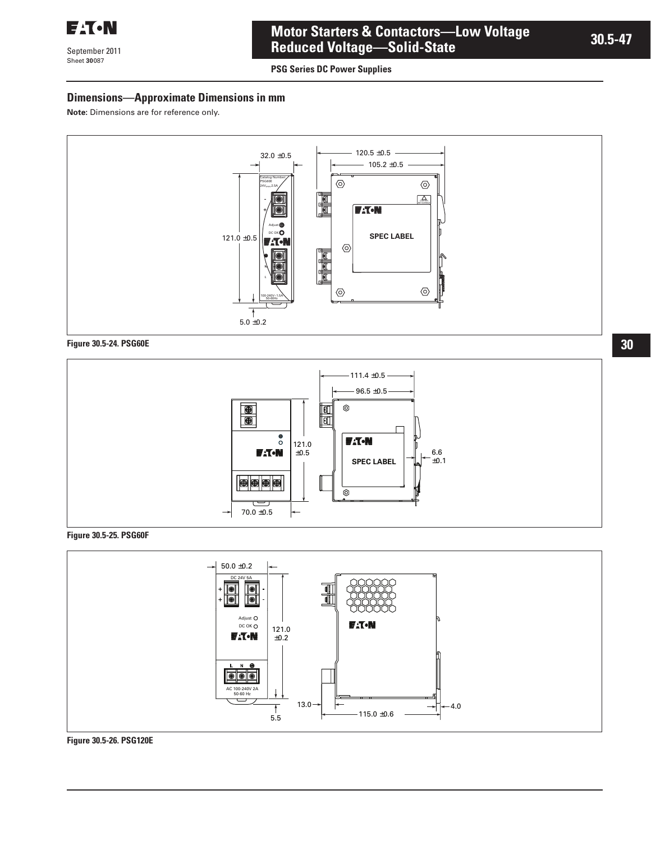

September 2011 Sheet **30**

# **Motor Starters & Contactors—Low Voltage Reduced Voltage—Solid-State**

**PSG Series DC Power Supplies** 

## **Dimensions—Approximate Dimensions in mm**

**Note:** Dimensions are for reference only.



#### **Figure 30.5-24. PSG60E**



#### **Figure 30.5-25. PSG60F**



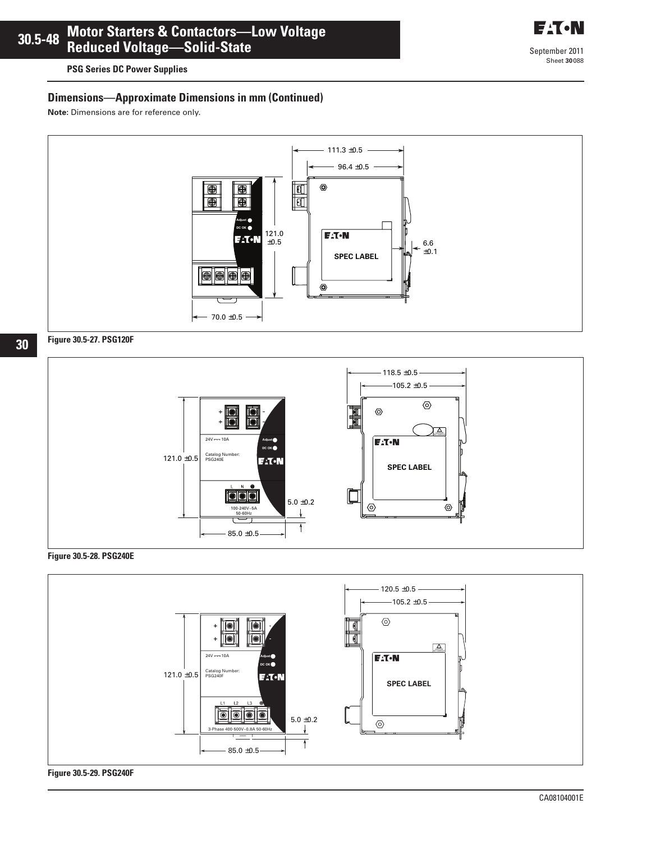**PSG Series DC Power Supplies** 

# **Dimensions—Approximate Dimensions in mm (Continued)**

**Note:** Dimensions are for reference only.



# **Figure 30.5-27. PSG120F**



**Figure 30.5-28. PSG240E**



**Figure 30.5-29. PSG240F**